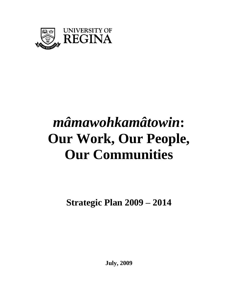

# *mâmawohkamâtowin***: Our Work, Our People, Our Communities**

**Strategic Plan 2009 – 2014** 

**July, 2009**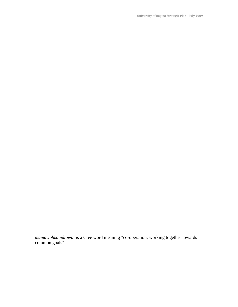**University of Regina Strategic Plan – July 2009** 

*mâmawohkamâtowin* is a Cree word meaning "co-operation; working together towards common goals".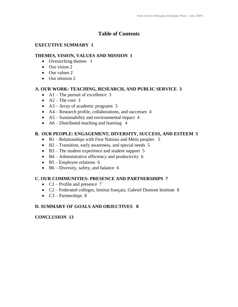# **Table of Contents**

## **EXECUTIVE SUMMARY 1**

## **THEMES, VISION, VALUES AND MISSION 1**

- Overarching themes 1
- $\bullet$  Our vision 2
- Our values 2
- Our mission 2

## **A. OUR WORK: TEACHING, RESEARCH, AND PUBLIC SERVICE 3**

- $\bullet$  A1 The pursuit of excellence 3
- $\bullet$  A2 The core 3
- A3 Array of academic programs 3
- A4 Research profile, collaborations, and successes 4
- A5 Sustainability and environmental impact 4
- A6 Distributed teaching and learning 4

## **B. OUR PEOPLE: ENGAGEMENT, DIVERSITY, SUCCESS, AND ESTEEM 5**

- B1 Relationships with First Nations and Métis peoples 5
- B2 Transition, early awareness, and special needs 5
- B3 The student experience and student support 5
- B4 Administrative efficiency and productivity 6
- $\bullet$  B5 Employee relations 6
- B6 Diversity, safety, and balance 6

## **C. OUR COMMUNITIES: PRESENCE AND PARTNERSHIPS 7**

- $Cl$  Profile and presence 7
- C2 Federated colleges, Institut français, Gabriel Dumont Institute 8
- $\bullet$  C3 Partnerships 8

## **D. SUMMARY OF GOALS AND OBJECTIVES 8**

## **CONCLUSION 13**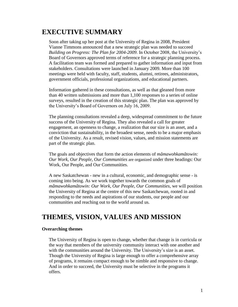# **EXECUTIVE SUMMARY**

Soon after taking up her post at the University of Regina in 2008, President Vianne Timmons announced that a new strategic plan was needed to succeed *Building on Progress: The Plan for 2004-2009*. In October 2008, the University's Board of Governors approved terms of reference for a strategic planning process. A facilitation team was formed and prepared to gather information and input from stakeholders. Consultations were launched in January 2009. More than 100 meetings were held with faculty, staff, students, alumni, retirees, administrators, government officials, professional organizations, and educational partners.

Information gathered in these consultations, as well as that gleaned from more than 40 written submissions and more than 1,100 responses to a series of online surveys, resulted in the creation of this strategic plan. The plan was approved by the University's Board of Governors on July 16, 2009.

The planning consultations revealed a deep, widespread commitment to the future success of the University of Regina. They also revealed a call for greater engagement, an openness to change, a realization that our size is an asset, and a conviction that sustainability, in the broadest sense, needs to be a major emphasis of the University. As a result, revised vision, values, and mission statements are part of the strategic plan.

The goals and objectives that form the action elements of *mâmawohkamâtowin: Our Work, Our People, Our Communities* are organized under three headings: Our Work, Our People, and Our Communities.

A new Saskatchewan - new in a cultural, economic, and demographic sense - is coming into being. As we work together towards the common goals of *mâmawohkamâtowin: Our Work, Our People, Our Communities*, we will position the University of Regina at the centre of this new Saskatchewan, rooted in and responding to the needs and aspirations of our students, our people and our communities and reaching out to the world around us.

# **THEMES, VISION, VALUES AND MISSION**

#### **Overarching themes**

The University of Regina is open to change, whether that change is in curricula or the way that members of the university community interact with one another and with the communities around the University. The University's size is an asset. Though the University of Regina is large enough to offer a comprehensive array of programs, it remains compact enough to be nimble and responsive to change. And in order to succeed, the University must be selective in the programs it offers.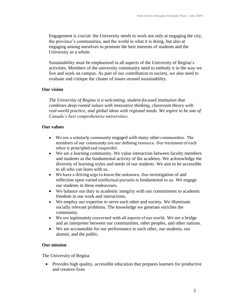Engagement is crucial: the University needs to work not only at engaging the city, the province's communities, and the world in what it is doing, but also at engaging among ourselves to promote the best interests of students and the University as a whole.

Sustainability must be emphasized in all aspects of the University of Regina's activities. Members of the university community need to embody it in the way we live and work on campus. As part of our contribution to society, we also need to evaluate and critique the cluster of issues around sustainability.

#### **Our vision**

*The University of Regina is a welcoming, student-focused institution that combines deep-rooted values with innovative thinking, classroom theory with real-world practice, and global ideas with regional needs. We aspire to be one of Canada's best comprehensive universities.*

#### **Our values**

- We are a scholarly community engaged with many other communities. The members of our community are our defining resource. Our treatment of each other is principled and respectful.
- We are a learning community. We value interaction between faculty members and students as the fundamental activity of the academy. We acknowledge the diversity of learning styles and needs of our students. We aim to be accessible to all who can learn with us.
- We have a driving urge to know the unknown. Our investigation of and reflection upon varied intellectual pursuits is fundamental to us. We engage our students in these endeavours.
- We balance our duty to academic integrity with our commitment to academic freedom in our work and interactions.
- We employ our expertise to serve each other and society. We illuminate socially relevant problems. The knowledge we generate enriches the community.
- We are legitimately concerned with all aspects of our world. We are a bridge and an interpreter between our communities, other peoples, and other nations.
- We are accountable for our performance to each other, our students, our alumni, and the public.

#### **Our mission**

The University of Regina

• Provides high quality, accessible education that prepares learners for productive and creative lives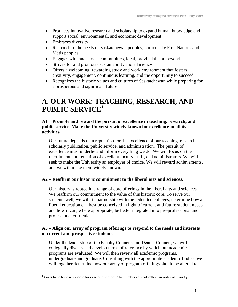- Produces innovative research and scholarship to expand human knowledge and support social, environmental, and economic development
- Embraces diversity

 $\overline{a}$ 

- Responds to the needs of Saskatchewan peoples, particularly First Nations and Métis peoples
- Engages with and serves communities, local, provincial, and beyond
- Strives for and promotes sustainability and efficiency
- Offers a welcoming, rewarding study and work environment that fosters creativity, engagement, continuous learning, and the opportunity to succeed
- Recognizes the historic values and cultures of Saskatchewan while preparing for a prosperous and significant future

# **A. OUR WORK: TEACHING, RESEARCH, AND PUBLIC SERVICE<sup>1</sup>**

#### **A1 – Promote and reward the pursuit of excellence in teaching, research, and public service. Make the University widely known for excellence in all its activities.**

Our future depends on a reputation for the excellence of our teaching, research, scholarly publication, public service, and administration. The pursuit of excellence must underlie and inform everything we do. We will focus on the recruitment and retention of excellent faculty, staff, and administrators. We will seek to make the University an employer of choice. We will reward achievements, and we will make them widely known.

#### **A2 – Reaffirm our historic commitment to the liberal arts and sciences.**

Our history is rooted in a range of core offerings in the liberal arts and sciences. We reaffirm our commitment to the value of this historic core. To serve our students well, we will, in partnership with the federated colleges, determine how a liberal education can best be conceived in light of current and future student needs and how it can, where appropriate, be better integrated into pre-professional and professional curricula.

#### **A3 – Align our array of program offerings to respond to the needs and interests of current and prospective students.**

Under the leadership of the Faculty Councils and Deans' Council, we will collegially discuss and develop terms of reference by which our academic programs are evaluated. We will then review all academic programs, undergraduate and graduate. Consulting with the appropriate academic bodies, we will together determine how our array of program offerings should be altered to

<sup>1</sup> Goals have been numbered for ease of reference. The numbers do not reflect an order of priority.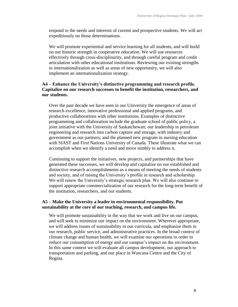respond to the needs and interests of current and prospective students. We will act expeditiously on those determinations.

We will promote experiential and service learning for all students, and will build on our historic strength in cooperative education. We will use resources effectively through cross-disciplinarity, and through careful program and credit articulation with other educational institutions. Reviewing our existing strengths in internationalization as well as areas of new opportunity, we will also implement an internationalization strategy.

### **A4 – Enhance the University's distinctive programming and research profile. Capitalize on our research successes to benefit the institution, researchers, and our students.**

Over the past decade we have seen in our University the emergence of areas of research excellence, innovative professional and applied programs, and productive collaborations with other institutions. Examples of distinctive programming and collaboration include the graduate school of public policy, a joint initiative with the University of Saskatchewan; our leadership in petroleum engineering and research into carbon capture and storage, with industry and government as our partners; and the planned new program in nursing education with SIAST and First Nations University of Canada. These illustrate what we can accomplish when we identify a need and move nimbly to address it.

Continuing to support the initiatives, new projects, and partnerships that have generated these successes, we will develop and capitalize on our established and distinctive research accomplishments as a means of meeting the needs of students and society, and of raising the University's profile in research and scholarship. We will renew the University's strategic research plan. We will also continue to support appropriate commercialization of our research for the long-term benefit of the institution, researchers, and our students.

#### **A5 – Make the University a leader in environmental responsibility. Put sustainability at the core of our teaching, research, and campus life.**

We will promote sustainability in the way that we work and live on our campus, and will seek to minimize our impact on the environment. Wherever appropriate, we will address issues of sustainability in our curricula, and emphasize them in our research, public service, and administrative practices. In the broad context of climate change and human health, we will examine our operations in order to reduce our consumption of energy and our campus's impact on the environment. In this same context we will evaluate all campus development, our approach to transportation and parking, and our place in Wascana Centre and the City of Regina.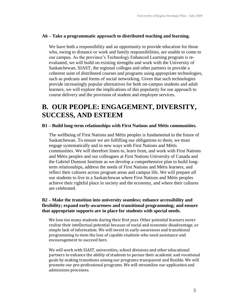#### **A6 – Take a programmatic approach to distributed teaching and learning.**

We have both a responsibility and an opportunity to provide education for those who, owing to distance or work and family responsibilities, are unable to come to our campus. As the province's Technology Enhanced Learning program is reevaluated, we will build on existing strengths and work with the University of Saskatchewan, SIAST, the regional colleges and other partners to provide a coherent suite of distributed courses and programs using appropriate technologies, such as podcasts and forms of social networking. Given that such technologies provide increasingly popular alternatives for both on-campus students and adult learners, we will explore the implications of this popularity for our approach to course delivery and the provision of student and employee services.

# **B. OUR PEOPLE: ENGAGEMENT, DIVERSITY, SUCCESS, AND ESTEEM**

#### **B1 – Build long-term relationships with First Nations and Métis communities.**

The wellbeing of First Nations and Métis peoples is fundamental to the future of Saskatchewan. To ensure we are fulfilling our obligations to them, we must engage systematically and in new ways with First Nations and Métis communities. We will therefore listen to, learn from, and work with First Nations and Métis peoples and our colleagues at First Nations University of Canada and the Gabriel Dumont Institute as we develop a comprehensive plan to build longterm relationships, address the needs of First Nations and Métis learners, and reflect their cultures across program areas and campus life. We will prepare *all*  our students to live in a Saskatchewan where First Nations and Métis peoples achieve their rightful place in society and the economy, and where their cultures are celebrated.

#### **B2 – Make the transition into university seamless; enhance accessibility and flexibility; expand early-awareness and transitional programming; and ensure that appropriate supports are in place for students with special needs.**

We lose too many students during their first year. Other potential learners never realize their intellectual potential because of social and economic disadvantage, or simple lack of information. We will invest in early-awareness and transitional programming to stem the loss of capable students who need assistance and encouragement to succeed here.

We will work with SIAST, universities, school divisions and other educational partners to enhance the ability of students to pursue their academic and vocational goals by making transitions among our programs transparent and flexible. We will promote our pre-professional programs. We will streamline our application and admissions processes.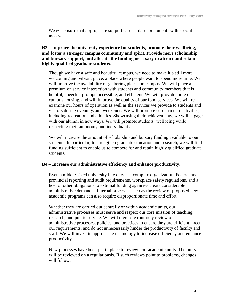We will ensure that appropriate supports are in place for students with special needs.

#### **B3 – Improve the university experience for students, promote their wellbeing, and foster a stronger campus community and spirit. Provide more scholarship and bursary support, and allocate the funding necessary to attract and retain highly qualified graduate students.**

Though we have a safe and beautiful campus, we need to make it a still more welcoming and vibrant place, a place where people want to spend more time. We will improve the availability of gathering places on campus. We will place a premium on service interaction with students and community members that is helpful, cheerful, prompt, accessible, and efficient. We will provide more oncampus housing, and will improve the quality of our food services. We will reexamine our hours of operation as well as the services we provide to students and visitors during evenings and weekends. We will promote co-curricular activities, including recreation and athletics. Showcasing their achievements, we will engage with our alumni in new ways. We will promote students' wellbeing while respecting their autonomy and individuality.

We will increase the amount of scholarship and bursary funding available to our students. In particular, to strengthen graduate education and research, we will find funding sufficient to enable us to compete for and retain highly qualified graduate students.

#### **B4 – Increase our administrative efficiency and enhance productivity.**

Even a middle-sized university like ours is a complex organization. Federal and provincial reporting and audit requirements, workplace safety regulations, and a host of other obligations to external funding agencies create considerable administrative demands. Internal processes such as the review of proposed new academic programs can also require disproportionate time and effort.

Whether they are carried out centrally or within academic units, our administrative processes must serve and respect our core mission of teaching, research, and public service. We will therefore routinely review our administrative processes, policies, and practices to ensure they are efficient, meet our requirements, and do not unnecessarily hinder the productivity of faculty and staff. We will invest in appropriate technology to increase efficiency and enhance productivity.

New processes have been put in place to review non-academic units. The units will be reviewed on a regular basis. If such reviews point to problems, changes will follow.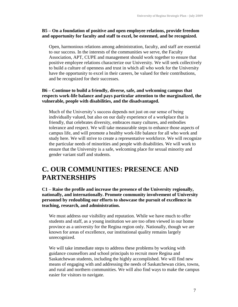#### **B5 – On a foundation of positive and open employee relations, provide freedom and opportunity for faculty and staff to excel, be esteemed, and be recognized.**

Open, harmonious relations among administration, faculty, and staff are essential to our success. In the interests of the communities we serve, the Faculty Association, APT, CUPE and management should work together to ensure that positive employee relations characterize our University. We will seek collectively to build a culture of openness and trust in which all who work for the University have the opportunity to excel in their careers, be valued for their contributions, and be recognized for their successes.

## **B6 – Continue to build a friendly, diverse, safe, and welcoming campus that respects work-life balance and pays particular attention to the marginalized, the vulnerable, people with disabilities, and the disadvantaged.**

Much of the University's success depends not just on our sense of being individually valued, but also on our daily experience of a workplace that is friendly, that celebrates diversity, embraces many cultures, and embodies tolerance and respect. We will take measurable steps to enhance those aspects of campus life, and will promote a healthy work-life balance for all who work and study here. We will strive to create a representative workforce. We will recognize the particular needs of minorities and people with disabilities. We will work to ensure that the University is a safe, welcoming place for sexual minority and gender variant staff and students.

# **C. OUR COMMUNITIES: PRESENCE AND PARTNERSHIPS**

#### **C1 – Raise the profile and increase the presence of the University regionally, nationally, and internationally. Promote community involvement of University personnel by redoubling our efforts to showcase the pursuit of excellence in teaching, research, and administration.**

We must address our visibility and reputation. While we have much to offer students and staff, as a young institution we are too often viewed in our home province as a university for the Regina region only. Nationally, though we are known for areas of excellence, our institutional quality remains largely unrecognized.

We will take immediate steps to address these problems by working with guidance counsellors and school principals to recruit more Regina and Saskatchewan students, including the highly accomplished. We will find new means of engaging with and addressing the needs of Saskatchewan cities, towns, and rural and northern communities. We will also find ways to make the campus easier for visitors to navigate.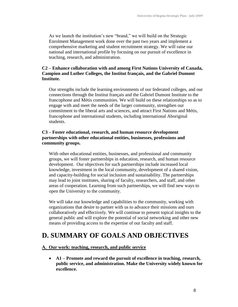As we launch the institution's new "brand," we will build on the Strategic Enrolment Management work done over the past two years and implement a comprehensive marketing and student recruitment strategy. We will raise our national and international profile by focusing on our pursuit of excellence in teaching, research, and administration.

#### **C2 – Enhance collaboration with and among First Nations University of Canada, Campion and Luther Colleges, the Institut français, and the Gabriel Dumont Institute.**

Our strengths include the learning environments of our federated colleges, and our connections through the Institut français and the Gabriel Dumont Institute to the francophone and Métis communities. We will build on these relationships so as to engage with and meet the needs of the larger community, strengthen our commitment to the liberal arts and sciences, and attract First Nations and Métis, francophone and international students, including international Aboriginal students.

#### **C3 – Foster educational, research, and human resource development partnerships with other educational entities, businesses, professions and community groups.**

With other educational entities, businesses, and professional and community groups, we will foster partnerships in education, research, and human resource development. Our objectives for such partnerships include increased local knowledge, investment in the local community, development of a shared vision, and capacity-building for social inclusion and sustainability. The partnerships may lead to joint institutes, sharing of faculty, researchers, and staff, and other areas of cooperation. Learning from such partnerships, we will find new ways to open the University to the community.

We will take our knowledge and capabilities to the community, working with organizations that desire to partner with us to advance their missions and ours collaboratively and effectively. We will continue to present topical insights to the general public and will explore the potential of social networking and other new means of providing access to the expertise of our faculty and staff.

# **D. SUMMARY OF GOALS AND OBJECTIVES**

#### **A. Our work: teaching, research, and public service**

 **A1 – Promote and reward the pursuit of excellence in teaching, research, public service, and administration. Make the University widely known for excellence.**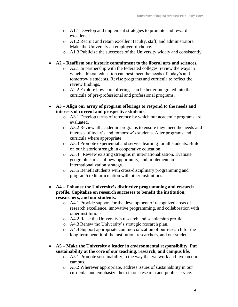- o A1.1 Develop and implement strategies to promote and reward excellence.
- o A1.2 Recruit and retain excellent faculty, staff, and administrators. Make the University an employer of choice.
- o A1.3 Publicize the successes of the University widely and consistently.
- **A2 – Reaffirm our historic commitment to the liberal arts and sciences.**
	- o A2.1 In partnership with the federated colleges, review the ways in which a liberal education can best meet the needs of today's and tomorrow's students. Revise programs and curricula to reflect the review findings.
	- o A2.2 Explore how core offerings can be better integrated into the curricula of pre-professional and professional programs.
- **A3 – Align our array of program offerings to respond to the needs and interests of current and prospective students.** 
	- o A3.1 Develop terms of reference by which our academic programs are evaluated.
	- o A3.2 Review all academic programs to ensure they meet the needs and interests of today's and tomorrow's students. Alter programs and curricula where appropriate.
	- o A3.3 Promote experiential and service learning for all students. Build on our historic strength in cooperative education.
	- o A3.4 Review existing strengths in internationalization. Evaluate geographic areas of new opportunity, and implement an internationalization strategy.
	- o A3.5 Benefit students with cross-disciplinary programming and program/credit articulation with other institutions.
- **A4 – Enhance the University's distinctive programming and research profile. Capitalize on research successes to benefit the institution, researchers, and our students.**
	- o A4.1 Provide support for the development of recognized areas of research excellence, innovative programming, and collaboration with other institutions.
	- o A4.2 Raise the University's research and scholarship profile.
	- o A4.3 Renew the University's strategic research plan.
	- o A4.4 Support appropriate commercialization of our research for the long-term benefit of the institution, researchers, and our students.
- **A5 – Make the University a leader in environmental responsibility. Put sustainability at the core of our teaching, research, and campus life.**
	- o A5.1 Promote sustainability in the way that we work and live on our campus.
	- o A5.2 Wherever appropriate, address issues of sustainability in our curricula, and emphasize them in our research and public service.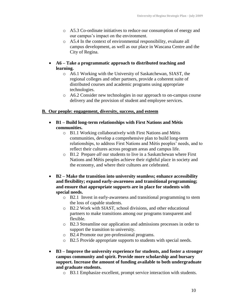- o A5.3 Co-ordinate initiatives to reduce our consumption of energy and our campus's impact on the environment.
- o A5.4 In the context of environmental responsibility, evaluate all campus development, as well as our place in Wascana Centre and the City of Regina.
- **A6 – Take a programmatic approach to distributed teaching and learning.**
	- o A6.1 Working with the University of Saskatchewan, SIAST, the regional colleges and other partners, provide a coherent suite of distributed courses and academic programs using appropriate technologies.
	- o A6.2 Consider new technologies in our approach to on-campus course delivery and the provision of student and employee services.

#### **B. Our people: engagement, diversity, success, and esteem**

- **B1 – Build long-term relationships with First Nations and Métis communities.**
	- o B1.1 Working collaboratively with First Nations and Métis communities, develop a comprehensive plan to build long-term relationships, to address First Nations and Métis peoples' needs, and to reflect their cultures across program areas and campus life.
	- o B1.2 Prepare *all* our students to live in a Saskatchewan where First Nations and Métis peoples achieve their rightful place in society and the economy, and where their cultures are celebrated.
- **B2 – Make the transition into university seamless; enhance accessibility and flexibility; expand early-awareness and transitional programming; and ensure that appropriate supports are in place for students with special needs.**
	- o B2.1 Invest in early-awareness and transitional programming to stem the loss of capable students.
	- o B2.2 Work with SIAST, school divisions, and other educational partners to make transitions among our programs transparent and flexible.
	- o B2.3 Streamline our application and admissions processes in order to support the transition to university.
	- o B2.4 Promote our pre-professional programs.
	- o B2.5 Provide appropriate supports to students with special needs.
- **B3 – Improve the university experience for students, and foster a stronger campus community and spirit. Provide more scholarship and bursary support. Increase the amount of funding available to both undergraduate and graduate students.**
	- o B3.1 Emphasize excellent, prompt service interaction with students.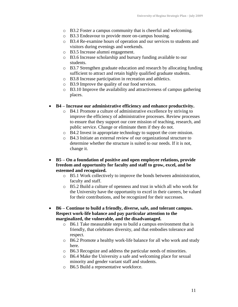- o B3.2 Foster a campus community that is cheerful and welcoming.
- o B3.3 Endeavour to provide more on-campus housing.
- o B3.4 Re-examine hours of operation and our services to students and visitors during evenings and weekends.
- o B3.5 Increase alumni engagement.
- o B3.6 Increase scholarship and bursary funding available to our students.
- o B3.7 Strengthen graduate education and research by allocating funding sufficient to attract and retain highly qualified graduate students.
- o B3.8 Increase participation in recreation and athletics.
- o B3.9 Improve the quality of our food services.
- o B3.10 Improve the availability and attractiveness of campus gathering places.

#### **B4 – Increase our administrative efficiency and enhance productivity.**

- o B4.1 Promote a culture of administrative excellence by striving to improve the efficiency of administrative processes. Review processes to ensure that they support our core mission of teaching, research, and public service. Change or eliminate them if they do not.
- o B4.2 Invest in appropriate technology to support the core mission.
- o B4.3 Initiate an external review of our organizational structure to determine whether the structure is suited to our needs. If it is not, change it.
- **B5 – On a foundation of positive and open employee relations, provide freedom and opportunity for faculty and staff to grow, excel, and be esteemed and recognized.**
	- o B5.1 Work collectively to improve the bonds between administration, faculty and staff.
	- o B5.2 Build a culture of openness and trust in which all who work for the University have the opportunity to excel in their careers, be valued for their contributions, and be recognized for their successes.
- **B6 – Continue to build a friendly, diverse, safe, and tolerant campus. Respect work-life balance and pay particular attention to the marginalized, the vulnerable, and the disadvantaged.**
	- o B6.1 Take measurable steps to build a campus environment that is friendly, that celebrates diversity, and that embodies tolerance and respect.
	- o B6.2 Promote a healthy work-life balance for all who work and study here.
	- o B6.3 Recognize and address the particular needs of minorities.
	- o B6.4 Make the University a safe and welcoming place for sexual minority and gender variant staff and students.
	- o B6.5 Build a representative workforce.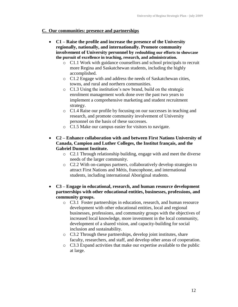#### **C. Our communities: presence and partnerships**

- **C1 – Raise the profile and increase the presence of the University regionally, nationally, and internationally. Promote community involvement of University personnel by redoubling our efforts to showcase the pursuit of excellence in teaching, research, and administration.**
	- o C1.1 Work with guidance counsellors and school principals to recruit more Regina and Saskatchewan students, including the highly accomplished.
	- o C1.2 Engage with and address the needs of Saskatchewan cities, towns, and rural and northern communities.
	- o C1.3 Using the institution's new brand, build on the strategic enrolment management work done over the past two years to implement a comprehensive marketing and student recruitment strategy.
	- o C1.4 Raise our profile by focusing on our successes in teaching and research, and promote community involvement of University personnel on the basis of these successes.
	- o C1.5 Make our campus easier for visitors to navigate.
- **C2 – Enhance collaboration with and between First Nations University of Canada, Campion and Luther Colleges, the Institut français, and the Gabriel Dumont Institute.**
	- o C2.1 Through relationship building, engage with and meet the diverse needs of the larger community.
	- o C2.2 With on-campus partners, collaboratively develop strategies to attract First Nations and Métis, francophone, and international students, including international Aboriginal students.
- **C3 – Engage in educational, research, and human resource development partnerships with other educational entities, businesses, professions, and community groups.**
	- o C3.1 Foster partnerships in education, research, and human resource development with other educational entities, local and regional businesses, professions, and community groups with the objectives of increased local knowledge, more investment in the local community, development of a shared vision, and capacity-building for social inclusion and sustainability.
	- o C3.2 Through these partnerships, develop joint institutes, share faculty, researchers, and staff, and develop other areas of cooperation.
	- o C3.3 Expand activities that make our expertise available to the public at large.